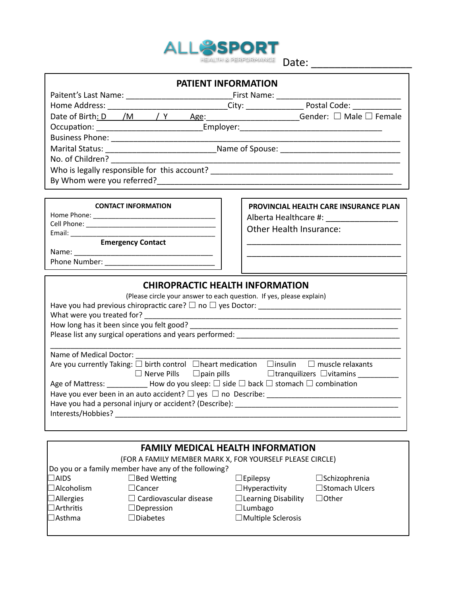

| <b>PATIENT INFORMATION</b>                                                                                          |                                          |  |
|---------------------------------------------------------------------------------------------------------------------|------------------------------------------|--|
|                                                                                                                     |                                          |  |
|                                                                                                                     |                                          |  |
| Date of Birth <u>: D <math>/M</math> / Y Age</u> : ______________________Gender: $\Box$ Male $\Box$ Female          |                                          |  |
|                                                                                                                     |                                          |  |
|                                                                                                                     |                                          |  |
|                                                                                                                     |                                          |  |
| No. of Children? ______________                                                                                     |                                          |  |
|                                                                                                                     |                                          |  |
|                                                                                                                     |                                          |  |
| <b>CONTACT INFORMATION</b>                                                                                          |                                          |  |
|                                                                                                                     | PROVINCIAL HEALTH CARE INSURANCE PLAN    |  |
|                                                                                                                     | Alberta Healthcare #: __________________ |  |
|                                                                                                                     | Other Health Insurance:                  |  |
| <b>Emergency Contact</b>                                                                                            |                                          |  |
|                                                                                                                     |                                          |  |
|                                                                                                                     |                                          |  |
| <b>CHIROPRACTIC HEALTH INFORMATION</b>                                                                              |                                          |  |
| (Please circle your answer to each question. If yes, please explain)                                                |                                          |  |
| Have you had previous chiropractic care? $\Box$ no $\Box$ yes Doctor: __________________________________            |                                          |  |
|                                                                                                                     |                                          |  |
|                                                                                                                     |                                          |  |
|                                                                                                                     |                                          |  |
| Name of Medical Doctor: Name of Medical Doctors                                                                     |                                          |  |
| Are you currently Taking: $\square$ birth control $\Box$ heart medication $\Box$ insulin $\square$ muscle relaxants |                                          |  |
|                                                                                                                     |                                          |  |
| Age of Mattress: ____________ How do you sleep: $\Box$ side $\Box$ back $\Box$ stomach $\Box$ combination           |                                          |  |
| Have you ever been in an auto accident? $\Box$ yes $\Box$ no Describe:                                              |                                          |  |

| Interests/Hobbies? | Have you had a personal injury or accident? (Describe): ________________________ |
|--------------------|----------------------------------------------------------------------------------|
|                    |                                                                                  |
|                    | <b>FAMILY MEDICAL HEALTH INFORMATION</b>                                         |
|                    | (FOR A FAMILY MEMBER MARK X, FOR YOURSELE PLEASE CIRCLE)                         |

| (FOR A FAMILY MEMBER MARK X, FOR YOURSELF PLEASE CIRCLE) |                               |                            |                         |  |  |  |
|----------------------------------------------------------|-------------------------------|----------------------------|-------------------------|--|--|--|
| [Do you or a family member have any of the following?    |                               |                            |                         |  |  |  |
| $\Box$ AIDS                                              | $\Box$ Bed Wetting            | $\Box$ Epilepsy            | $\square$ Schizophrenia |  |  |  |
| $\Box$ Alcoholism                                        | $\Box$ Cancer                 | $\Box$ Hyperactivity       | □Stomach Ulcers         |  |  |  |
| $\Box$ Allergies                                         | $\Box$ Cardiovascular disease | $\Box$ Learning Disability | $\Box$ Other            |  |  |  |
| $\Box$ Arthritis                                         | $\Box$ Depression             | $\Box$ Lumbago             |                         |  |  |  |
| $\Box$ Asthma                                            | $\Box$ Diabetes               | $\Box$ Multiple Sclerosis  |                         |  |  |  |
|                                                          |                               |                            |                         |  |  |  |